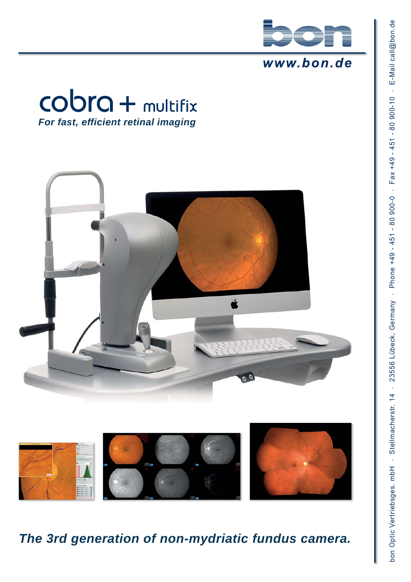

#### www.bon.de







*The 3rd generation of non-mydriatic fundus camera.*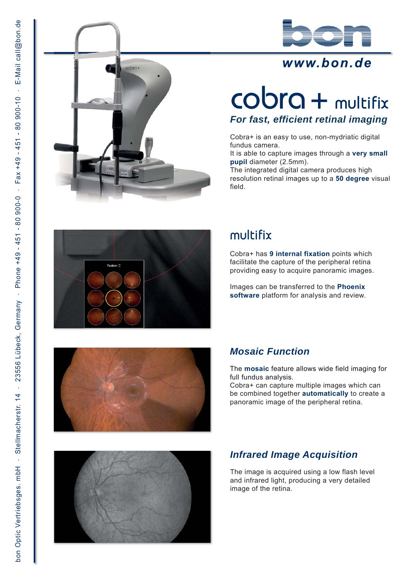

## www.bon.de



## cobra + multifix *For fast, efficient retinal imaging*

Cobra+ is an easy to use, non-mydriatic digital fundus camera.

It is able to capture images through a **very small pupil** diameter (2.5mm).

The integrated digital camera produces high resolution retinal images up to a **50 degree** visual field.



## multifix

Cobra+ has **9 internal fixation** points which facilitate the capture of the peripheral retina providing easy to acquire panoramic images.

Images can be transferred to the **Phoenix software** platform for analysis and review.



#### *Mosaic Function*

The **mosaic** feature allows wide field imaging for full fundus analysis.

Cobra+ can capture multiple images which can be combined together **automatically** to create a panoramic image of the peripheral retina.



#### *Infrared Image Acquisition*

The image is acquired using a low flash level and infrared light, producing a very detailed image of the retina.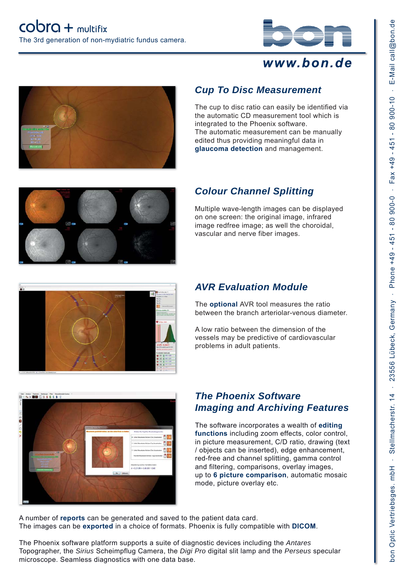

### www.bon.de







*Cup To Disc Measurement*

integrated to the Phoenix software.

The cup to disc ratio can easily be identified via the automatic CD measurement tool which is

The automatic measurement can be manually edited thus providing meaningful data in **glaucoma detection** and management.

Multiple wave-length images can be displayed on one screen: the original image, infrared image redfree image; as well the choroidal, vascular and nerve fiber images.



#### *AVR Evaluation Module*

The **optional** AVR tool measures the ratio between the branch arteriolar-venous diameter.

A low ratio between the dimension of the vessels may be predictive of cardiovascular problems in adult patients.



#### *The Phoenix Software Imaging and Archiving Features*

The software incorporates a wealth of **editing functions** including zoom effects, color control, in picture measurement, C/D ratio, drawing (text / objects can be inserted), edge enhancement, red-free and channel splitting, gamma control and filtering, comparisons, overlay images, up to **6 picture comparison**, automatic mosaic mode, picture overlay etc.

A number of **reports** can be generated and saved to the patient data card. The images can be **exported** in a choice of formats. Phoenix is fully compatible with **DICOM**.

The Phoenix software platform supports a suite of diagnostic devices including the *Antares* Topographer, the *Sirius* Scheimpflug Camera, the *Digi Pro* digital slit lamp and the *Perseus* specular microscope. Seamless diagnostics with one data base.